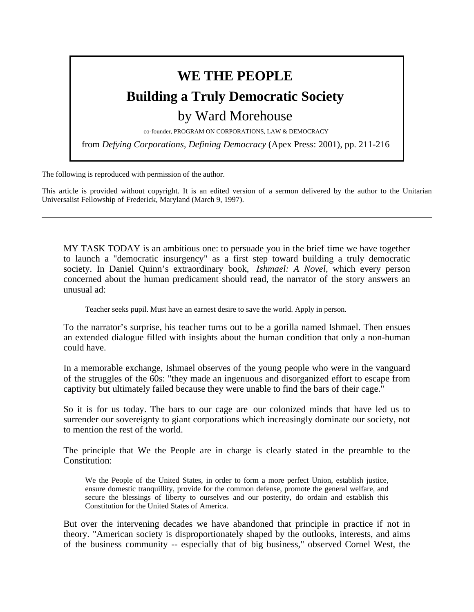## **WE THE PEOPLE**

## **Building a Truly Democratic Society**

## by Ward Morehouse

co-founder, PROGRAM ON CORPORATIONS, LAW & DEMOCRACY

from *Defying Corporations, Defining Democracy* (Apex Press: 2001), pp. 211-216

The following is reproduced with permission of the author.

This article is provided without copyright. It is an edited version of a sermon delivered by the author to the Unitarian Universalist Fellowship of Frederick, Maryland (March 9, 1997).

MY TASK TODAY is an ambitious one: to persuade you in the brief time we have together to launch a "democratic insurgency" as a first step toward building a truly democratic society. In Daniel Quinn's extraordinary book, *Ishmael: A Novel,* which every person concerned about the human predicament should read, the narrator of the story answers an unusual ad:

Teacher seeks pupil. Must have an earnest desire to save the world. Apply in person.

To the narrator's surprise, his teacher turns out to be a gorilla named Ishmael. Then ensues an extended dialogue filled with insights about the human condition that only a non-human could have.

In a memorable exchange, Ishmael observes of the young people who were in the vanguard of the struggles of the 60s: "they made an ingenuous and disorganized effort to escape from captivity but ultimately failed because they were unable to find the bars of their cage."

So it is for us today. The bars to our cage are our colonized minds that have led us to surrender our sovereignty to giant corporations which increasingly dominate our society, not to mention the rest of the world.

The principle that We the People are in charge is clearly stated in the preamble to the Constitution:

We the People of the United States, in order to form a more perfect Union, establish justice, ensure domestic tranquillity, provide for the common defense, promote the general welfare, and secure the blessings of liberty to ourselves and our posterity, do ordain and establish this Constitution for the United States of America.

But over the intervening decades we have abandoned that principle in practice if not in theory. "American society is disproportionately shaped by the outlooks, interests, and aims of the business community -- especially that of big business," observed Cornel West, the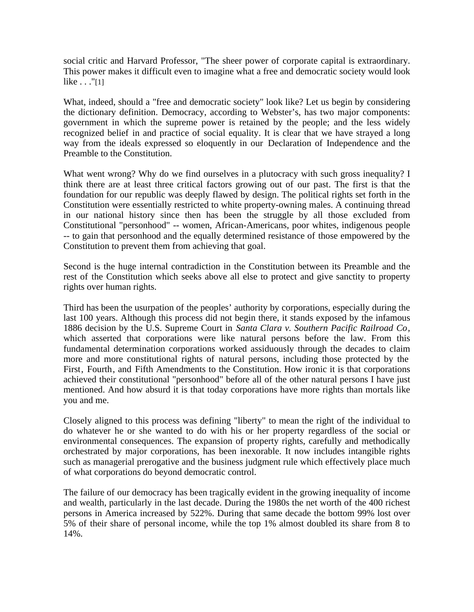social critic and Harvard Professor, "The sheer power of corporate capital is extraordinary. This power makes it difficult even to imagine what a free and democratic society would look like  $\dots$ "[1]

What, indeed, should a "free and democratic society" look like? Let us begin by considering the dictionary definition. Democracy, according to Webster's, has two major components: government in which the supreme power is retained by the people; and the less widely recognized belief in and practice of social equality. It is clear that we have strayed a long way from the ideals expressed so eloquently in our Declaration of Independence and the Preamble to the Constitution.

What went wrong? Why do we find ourselves in a plutocracy with such gross inequality? I think there are at least three critical factors growing out of our past. The first is that the foundation for our republic was deeply flawed by design. The political rights set forth in the Constitution were essentially restricted to white property-owning males. A continuing thread in our national history since then has been the struggle by all those excluded from Constitutional "personhood" -- women, African-Americans, poor whites, indigenous people -- to gain that personhood and the equally determined resistance of those empowered by the Constitution to prevent them from achieving that goal.

Second is the huge internal contradiction in the Constitution between its Preamble and the rest of the Constitution which seeks above all else to protect and give sanctity to property rights over human rights.

Third has been the usurpation of the peoples' authority by corporations, especially during the last 100 years. Although this process did not begin there, it stands exposed by the infamous 1886 decision by the U.S. Supreme Court in *Santa Clara v. Southern Pacific Railroad Co,* which asserted that corporations were like natural persons before the law. From this fundamental determination corporations worked assiduously through the decades to claim more and more constitutional rights of natural persons, including those protected by the First, Fourth, and Fifth Amendments to the Constitution. How ironic it is that corporations achieved their constitutional "personhood" before all of the other natural persons I have just mentioned. And how absurd it is that today corporations have more rights than mortals like you and me.

Closely aligned to this process was defining "liberty" to mean the right of the individual to do whatever he or she wanted to do with his or her property regardless of the social or environmental consequences. The expansion of property rights, carefully and methodically orchestrated by major corporations, has been inexorable. It now includes intangible rights such as managerial prerogative and the business judgment rule which effectively place much of what corporations do beyond democratic control.

The failure of our democracy has been tragically evident in the growing inequality of income and wealth, particularly in the last decade. During the 1980s the net worth of the 400 richest persons in America increased by 522%. During that same decade the bottom 99% lost over 5% of their share of personal income, while the top 1% almost doubled its share from 8 to 14%.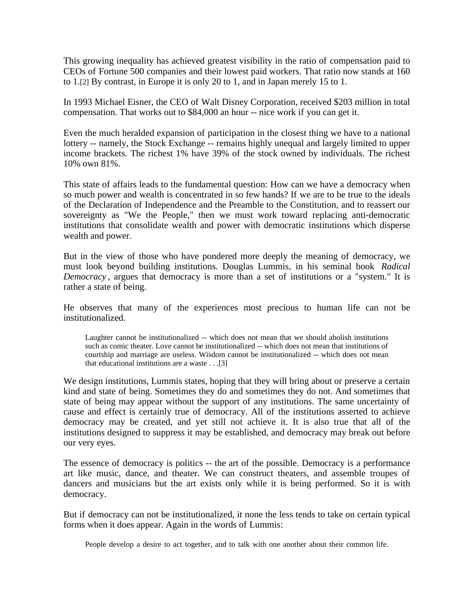This growing inequality has achieved greatest visibility in the ratio of compensation paid to CEOs of Fortune 500 companies and their lowest paid workers. That ratio now stands at 160 to 1.[2] By contrast, in Europe it is only 20 to 1, and in Japan merely 15 to 1.

In 1993 Michael Eisner, the CEO of Walt Disney Corporation, received \$203 million in total compensation. That works out to \$84,000 an hour -- nice work if you can get it.

Even the much heralded expansion of participation in the closest thing we have to a national lottery -- namely, the Stock Exchange -- remains highly unequal and largely limited to upper income brackets. The richest 1% have 39% of the stock owned by individuals. The richest 10% own 81%.

This state of affairs leads to the fundamental question: How can we have a democracy when so much power and wealth is concentrated in so few hands? If we are to be true to the ideals of the Declaration of Independence and the Preamble to the Constitution, and to reassert our sovereignty as "We the People," then we must work toward replacing anti-democratic institutions that consolidate wealth and power with democratic institutions which disperse wealth and power.

But in the view of those who have pondered more deeply the meaning of democracy, we must look beyond building institutions. Douglas Lummis, in his seminal book *Radical Democracy* , argues that democracy is more than a set of institutions or a "system." It is rather a state of being.

He observes that many of the experiences most precious to human life can not be institutionalized.

Laughter cannot be institutionalized -- which does not mean that we should abolish institutions such as comic theater. Love cannot be institutionalized -- which does not mean that institutions of courtship and marriage are useless. Wisdom cannot be institutionalized -- which does not mean that educational institutions are a waste . . .[3]

We design institutions, Lummis states, hoping that they will bring about or preserve a certain kind and state of being. Sometimes they do and sometimes they do not. And sometimes that state of being may appear without the support of any institutions. The same uncertainty of cause and effect is certainly true of democracy. All of the institutions asserted to achieve democracy may be created, and yet still not achieve it. It is also true that all of the institutions designed to suppress it may be established, and democracy may break out before our very eyes.

The essence of democracy is politics -- the art of the possible. Democracy is a performance art like music, dance, and theater. We can construct theaters, and assemble troupes of dancers and musicians but the art exists only while it is being performed. So it is with democracy.

But if democracy can not be institutionalized, it none the less tends to take on certain typical forms when it does appear. Again in the words of Lummis:

People develop a desire to act together, and to talk with one another about their common life.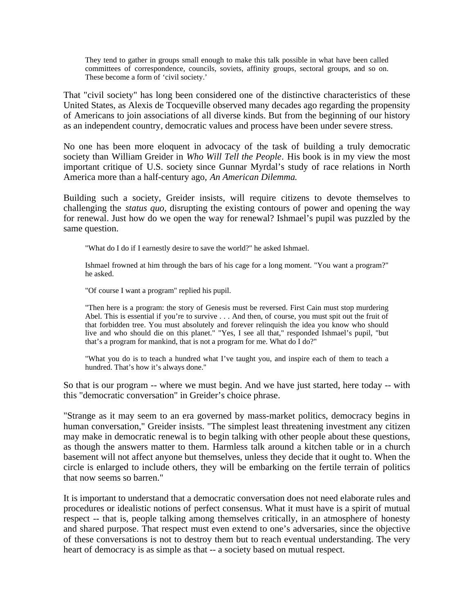They tend to gather in groups small enough to make this talk possible in what have been called committees of correspondence, councils, soviets, affinity groups, sectoral groups, and so on. These become a form of 'civil society.'

That "civil society" has long been considered one of the distinctive characteristics of these United States, as Alexis de Tocqueville observed many decades ago regarding the propensity of Americans to join associations of all diverse kinds. But from the beginning of our history as an independent country, democratic values and process have been under severe stress.

No one has been more eloquent in advocacy of the task of building a truly democratic society than William Greider in *Who Will Tell the People.* His book is in my view the most important critique of U.S. society since Gunnar Myrdal's study of race relations in North America more than a half-century ago, *An American Dilemma.*

Building such a society, Greider insists, will require citizens to devote themselves to challenging the *status quo,* disrupting the existing contours of power and opening the way for renewal. Just how do we open the way for renewal? Ishmael's pupil was puzzled by the same question.

"What do I do if I earnestly desire to save the world?" he asked Ishmael.

Ishmael frowned at him through the bars of his cage for a long moment. "You want a program?" he asked.

"Of course I want a program" replied his pupil.

"Then here is a program: the story of Genesis must be reversed. First Cain must stop murdering Abel. This is essential if you're to survive . . . And then, of course, you must spit out the fruit of that forbidden tree. You must absolutely and forever relinquish the idea you know who should live and who should die on this planet." "Yes, I see all that," responded Ishmael's pupil, "but that's a program for mankind, that is not a program for me. What do I do?"

"What you do is to teach a hundred what I've taught you, and inspire each of them to teach a hundred. That's how it's always done."

So that is our program -- where we must begin. And we have just started, here today -- with this "democratic conversation" in Greider's choice phrase.

"Strange as it may seem to an era governed by mass-market politics, democracy begins in human conversation," Greider insists. "The simplest least threatening investment any citizen may make in democratic renewal is to begin talking with other people about these questions, as though the answers matter to them. Harmless talk around a kitchen table or in a church basement will not affect anyone but themselves, unless they decide that it ought to. When the circle is enlarged to include others, they will be embarking on the fertile terrain of politics that now seems so barren."

It is important to understand that a democratic conversation does not need elaborate rules and procedures or idealistic notions of perfect consensus. What it must have is a spirit of mutual respect -- that is, people talking among themselves critically, in an atmosphere of honesty and shared purpose. That respect must even extend to one's adversaries, since the objective of these conversations is not to destroy them but to reach eventual understanding. The very heart of democracy is as simple as that -- a society based on mutual respect.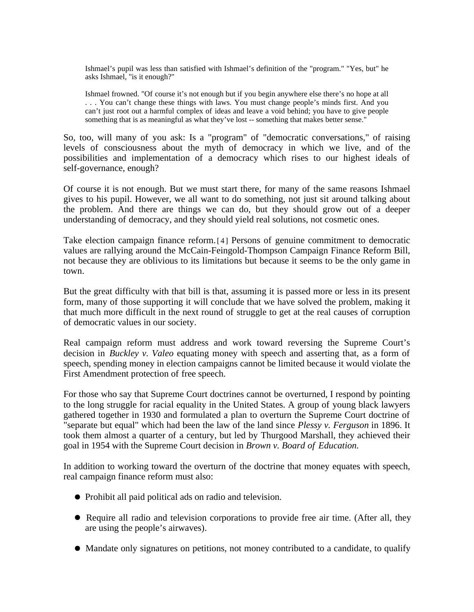Ishmael's pupil was less than satisfied with Ishmael's definition of the "program." "Yes, but" he asks Ishmael, "is it enough?"

Ishmael frowned. "Of course it's not enough but if you begin anywhere else there's no hope at all . . . You can't change these things with laws. You must change people's minds first. And you can't just root out a harmful complex of ideas and leave a void behind; you have to give people something that is as meaningful as what they've lost -- something that makes better sense."

So, too, will many of you ask: Is a "program" of "democratic conversations," of raising levels of consciousness about the myth of democracy in which we live, and of the possibilities and implementation of a democracy which rises to our highest ideals of self-governance, enough?

Of course it is not enough. But we must start there, for many of the same reasons Ishmael gives to his pupil. However, we all want to do something, not just sit around talking about the problem. And there are things we can do, but they should grow out of a deeper understanding of democracy, and they should yield real solutions, not cosmetic ones.

Take election campaign finance reform.[4] Persons of genuine commitment to democratic values are rallying around the McCain-Feingold-Thompson Campaign Finance Reform Bill, not because they are oblivious to its limitations but because it seems to be the only game in town.

But the great difficulty with that bill is that, assuming it is passed more or less in its present form, many of those supporting it will conclude that we have solved the problem, making it that much more difficult in the next round of struggle to get at the real causes of corruption of democratic values in our society.

Real campaign reform must address and work toward reversing the Supreme Court's decision in *Buckley v. Valeo* equating money with speech and asserting that, as a form of speech, spending money in election campaigns cannot be limited because it would violate the First Amendment protection of free speech.

For those who say that Supreme Court doctrines cannot be overturned, I respond by pointing to the long struggle for racial equality in the United States. A group of young black lawyers gathered together in 1930 and formulated a plan to overturn the Supreme Court doctrine of "separate but equal" which had been the law of the land since *Plessy v. Ferguson* in 1896. It took them almost a quarter of a century, but led by Thurgood Marshall, they achieved their goal in 1954 with the Supreme Court decision in *Brown v. Board of Education.*

In addition to working toward the overturn of the doctrine that money equates with speech, real campaign finance reform must also:

- Prohibit all paid political ads on radio and television.
- Require all radio and television corporations to provide free air time. (After all, they are using the people's airwaves).
- Mandate only signatures on petitions, not money contributed to a candidate, to qualify